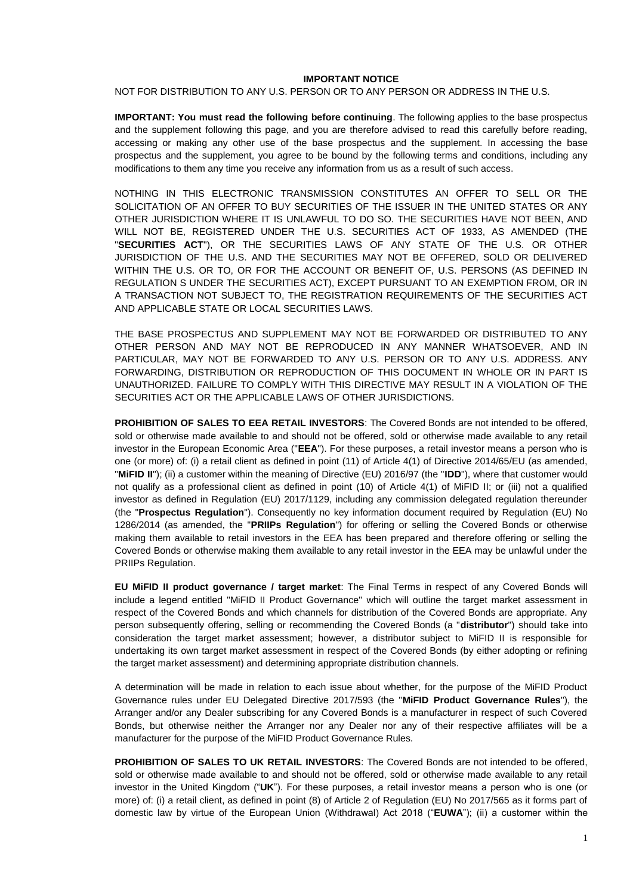#### **IMPORTANT NOTICE**

NOT FOR DISTRIBUTION TO ANY U.S. PERSON OR TO ANY PERSON OR ADDRESS IN THE U.S.

**IMPORTANT: You must read the following before continuing**. The following applies to the base prospectus and the supplement following this page, and you are therefore advised to read this carefully before reading, accessing or making any other use of the base prospectus and the supplement. In accessing the base prospectus and the supplement, you agree to be bound by the following terms and conditions, including any modifications to them any time you receive any information from us as a result of such access.

NOTHING IN THIS ELECTRONIC TRANSMISSION CONSTITUTES AN OFFER TO SELL OR THE SOLICITATION OF AN OFFER TO BUY SECURITIES OF THE ISSUER IN THE UNITED STATES OR ANY OTHER JURISDICTION WHERE IT IS UNLAWFUL TO DO SO. THE SECURITIES HAVE NOT BEEN, AND WILL NOT BE, REGISTERED UNDER THE U.S. SECURITIES ACT OF 1933, AS AMENDED (THE "**SECURITIES ACT**"), OR THE SECURITIES LAWS OF ANY STATE OF THE U.S. OR OTHER JURISDICTION OF THE U.S. AND THE SECURITIES MAY NOT BE OFFERED, SOLD OR DELIVERED WITHIN THE U.S. OR TO, OR FOR THE ACCOUNT OR BENEFIT OF, U.S. PERSONS (AS DEFINED IN REGULATION S UNDER THE SECURITIES ACT), EXCEPT PURSUANT TO AN EXEMPTION FROM, OR IN A TRANSACTION NOT SUBJECT TO, THE REGISTRATION REQUIREMENTS OF THE SECURITIES ACT AND APPLICABLE STATE OR LOCAL SECURITIES LAWS.

THE BASE PROSPECTUS AND SUPPLEMENT MAY NOT BE FORWARDED OR DISTRIBUTED TO ANY OTHER PERSON AND MAY NOT BE REPRODUCED IN ANY MANNER WHATSOEVER, AND IN PARTICULAR, MAY NOT BE FORWARDED TO ANY U.S. PERSON OR TO ANY U.S. ADDRESS. ANY FORWARDING, DISTRIBUTION OR REPRODUCTION OF THIS DOCUMENT IN WHOLE OR IN PART IS UNAUTHORIZED. FAILURE TO COMPLY WITH THIS DIRECTIVE MAY RESULT IN A VIOLATION OF THE SECURITIES ACT OR THE APPLICABLE LAWS OF OTHER JURISDICTIONS.

**PROHIBITION OF SALES TO EEA RETAIL INVESTORS**: The Covered Bonds are not intended to be offered, sold or otherwise made available to and should not be offered, sold or otherwise made available to any retail investor in the European Economic Area ("**EEA**"). For these purposes, a retail investor means a person who is one (or more) of: (i) a retail client as defined in point (11) of Article 4(1) of Directive 2014/65/EU (as amended, "**MiFID II**"); (ii) a customer within the meaning of Directive (EU) 2016/97 (the "**IDD**"), where that customer would not qualify as a professional client as defined in point (10) of Article 4(1) of MiFID II; or (iii) not a qualified investor as defined in Regulation (EU) 2017/1129, including any commission delegated regulation thereunder (the "**Prospectus Regulation**"). Consequently no key information document required by Regulation (EU) No 1286/2014 (as amended, the "**PRIIPs Regulation**") for offering or selling the Covered Bonds or otherwise making them available to retail investors in the EEA has been prepared and therefore offering or selling the Covered Bonds or otherwise making them available to any retail investor in the EEA may be unlawful under the PRIIPs Regulation.

**EU MiFID II product governance / target market**: The Final Terms in respect of any Covered Bonds will include a legend entitled "MiFID II Product Governance" which will outline the target market assessment in respect of the Covered Bonds and which channels for distribution of the Covered Bonds are appropriate. Any person subsequently offering, selling or recommending the Covered Bonds (a "**distributor**") should take into consideration the target market assessment; however, a distributor subject to MiFID II is responsible for undertaking its own target market assessment in respect of the Covered Bonds (by either adopting or refining the target market assessment) and determining appropriate distribution channels.

A determination will be made in relation to each issue about whether, for the purpose of the MiFID Product Governance rules under EU Delegated Directive 2017/593 (the "**MiFID Product Governance Rules**"), the Arranger and/or any Dealer subscribing for any Covered Bonds is a manufacturer in respect of such Covered Bonds, but otherwise neither the Arranger nor any Dealer nor any of their respective affiliates will be a manufacturer for the purpose of the MiFID Product Governance Rules.

**PROHIBITION OF SALES TO UK RETAIL INVESTORS**: The Covered Bonds are not intended to be offered, sold or otherwise made available to and should not be offered, sold or otherwise made available to any retail investor in the United Kingdom ("**UK**"). For these purposes, a retail investor means a person who is one (or more) of: (i) a retail client, as defined in point (8) of Article 2 of Regulation (EU) No 2017/565 as it forms part of domestic law by virtue of the European Union (Withdrawal) Act 2018 ("**EUWA**"); (ii) a customer within the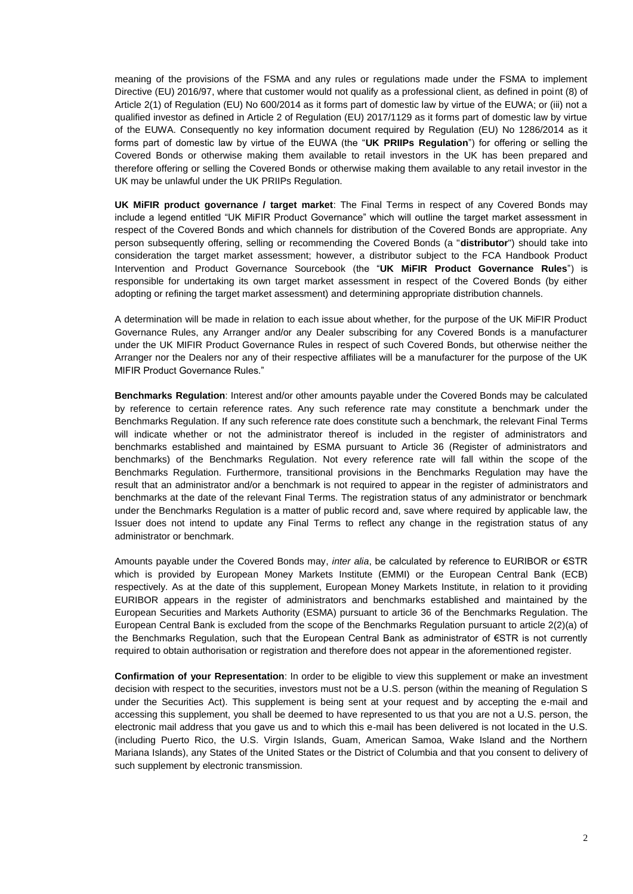meaning of the provisions of the FSMA and any rules or regulations made under the FSMA to implement Directive (EU) 2016/97, where that customer would not qualify as a professional client, as defined in point (8) of Article 2(1) of Regulation (EU) No 600/2014 as it forms part of domestic law by virtue of the EUWA; or (iii) not a qualified investor as defined in Article 2 of Regulation (EU) 2017/1129 as it forms part of domestic law by virtue of the EUWA. Consequently no key information document required by Regulation (EU) No 1286/2014 as it forms part of domestic law by virtue of the EUWA (the "**UK PRIIPs Regulation**") for offering or selling the Covered Bonds or otherwise making them available to retail investors in the UK has been prepared and therefore offering or selling the Covered Bonds or otherwise making them available to any retail investor in the UK may be unlawful under the UK PRIIPs Regulation.

**UK MiFIR product governance / target market**: The Final Terms in respect of any Covered Bonds may include a legend entitled "UK MiFIR Product Governance" which will outline the target market assessment in respect of the Covered Bonds and which channels for distribution of the Covered Bonds are appropriate. Any person subsequently offering, selling or recommending the Covered Bonds (a "**distributor**") should take into consideration the target market assessment; however, a distributor subject to the FCA Handbook Product Intervention and Product Governance Sourcebook (the "**UK MiFIR Product Governance Rules**") is responsible for undertaking its own target market assessment in respect of the Covered Bonds (by either adopting or refining the target market assessment) and determining appropriate distribution channels.

A determination will be made in relation to each issue about whether, for the purpose of the UK MiFIR Product Governance Rules, any Arranger and/or any Dealer subscribing for any Covered Bonds is a manufacturer under the UK MIFIR Product Governance Rules in respect of such Covered Bonds, but otherwise neither the Arranger nor the Dealers nor any of their respective affiliates will be a manufacturer for the purpose of the UK MIFIR Product Governance Rules."

**Benchmarks Regulation**: Interest and/or other amounts payable under the Covered Bonds may be calculated by reference to certain reference rates. Any such reference rate may constitute a benchmark under the Benchmarks Regulation. If any such reference rate does constitute such a benchmark, the relevant Final Terms will indicate whether or not the administrator thereof is included in the register of administrators and benchmarks established and maintained by ESMA pursuant to Article 36 (Register of administrators and benchmarks) of the Benchmarks Regulation. Not every reference rate will fall within the scope of the Benchmarks Regulation. Furthermore, transitional provisions in the Benchmarks Regulation may have the result that an administrator and/or a benchmark is not required to appear in the register of administrators and benchmarks at the date of the relevant Final Terms. The registration status of any administrator or benchmark under the Benchmarks Regulation is a matter of public record and, save where required by applicable law, the Issuer does not intend to update any Final Terms to reflect any change in the registration status of any administrator or benchmark.

Amounts payable under the Covered Bonds may, *inter alia*, be calculated by reference to EURIBOR or €STR which is provided by European Money Markets Institute (EMMI) or the European Central Bank (ECB) respectively. As at the date of this supplement, European Money Markets Institute, in relation to it providing EURIBOR appears in the register of administrators and benchmarks established and maintained by the European Securities and Markets Authority (ESMA) pursuant to article 36 of the Benchmarks Regulation. The European Central Bank is excluded from the scope of the Benchmarks Regulation pursuant to article 2(2)(a) of the Benchmarks Regulation, such that the European Central Bank as administrator of €STR is not currently required to obtain authorisation or registration and therefore does not appear in the aforementioned register.

**Confirmation of your Representation**: In order to be eligible to view this supplement or make an investment decision with respect to the securities, investors must not be a U.S. person (within the meaning of Regulation S under the Securities Act). This supplement is being sent at your request and by accepting the e-mail and accessing this supplement, you shall be deemed to have represented to us that you are not a U.S. person, the electronic mail address that you gave us and to which this e-mail has been delivered is not located in the U.S. (including Puerto Rico, the U.S. Virgin Islands, Guam, American Samoa, Wake Island and the Northern Mariana Islands), any States of the United States or the District of Columbia and that you consent to delivery of such supplement by electronic transmission.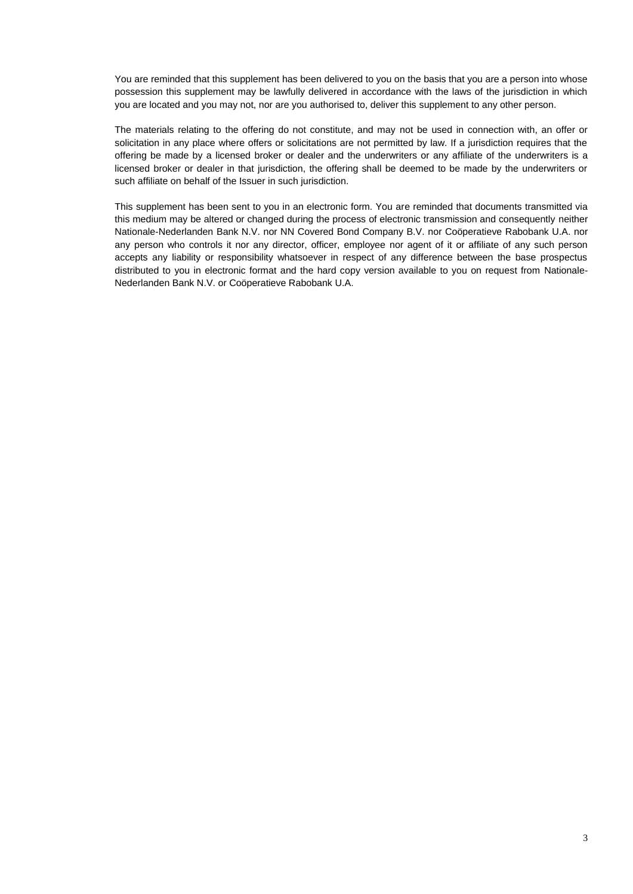You are reminded that this supplement has been delivered to you on the basis that you are a person into whose possession this supplement may be lawfully delivered in accordance with the laws of the jurisdiction in which you are located and you may not, nor are you authorised to, deliver this supplement to any other person.

The materials relating to the offering do not constitute, and may not be used in connection with, an offer or solicitation in any place where offers or solicitations are not permitted by law. If a jurisdiction requires that the offering be made by a licensed broker or dealer and the underwriters or any affiliate of the underwriters is a licensed broker or dealer in that jurisdiction, the offering shall be deemed to be made by the underwriters or such affiliate on behalf of the Issuer in such jurisdiction.

This supplement has been sent to you in an electronic form. You are reminded that documents transmitted via this medium may be altered or changed during the process of electronic transmission and consequently neither Nationale-Nederlanden Bank N.V. nor NN Covered Bond Company B.V. nor Coöperatieve Rabobank U.A. nor any person who controls it nor any director, officer, employee nor agent of it or affiliate of any such person accepts any liability or responsibility whatsoever in respect of any difference between the base prospectus distributed to you in electronic format and the hard copy version available to you on request from Nationale-Nederlanden Bank N.V. or Coöperatieve Rabobank U.A.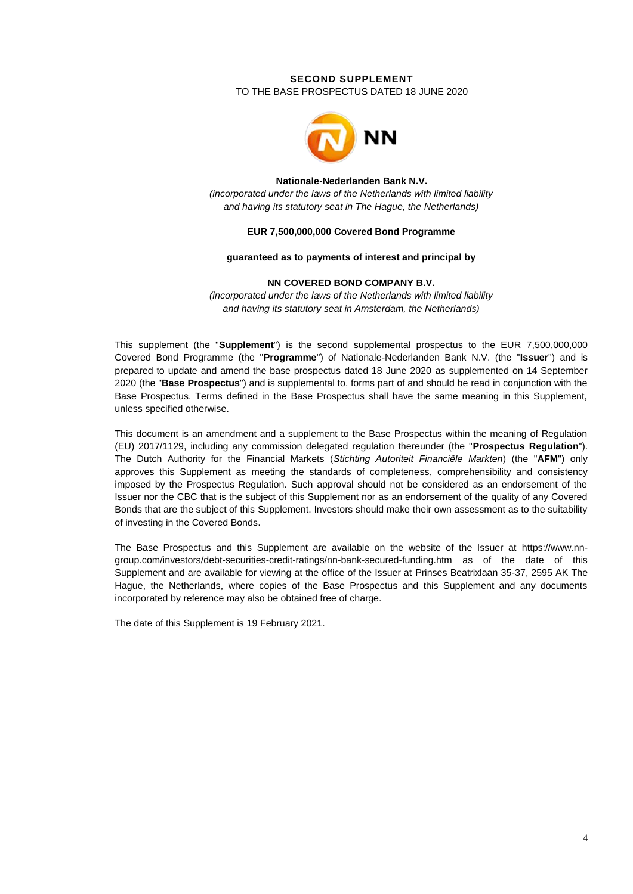# **SECOND SUPPLEMENT** TO THE BASE PROSPECTUS DATED 18 JUNE 2020



#### **Nationale-Nederlanden Bank N.V.**

*(incorporated under the laws of the Netherlands with limited liability and having its statutory seat in The Hague, the Netherlands)*

## **EUR 7,500,000,000 Covered Bond Programme**

### **guaranteed as to payments of interest and principal by**

### **NN COVERED BOND COMPANY B.V.**

*(incorporated under the laws of the Netherlands with limited liability and having its statutory seat in Amsterdam, the Netherlands)*

This supplement (the "**Supplement**") is the second supplemental prospectus to the EUR 7,500,000,000 Covered Bond Programme (the "**Programme**") of Nationale-Nederlanden Bank N.V. (the "**Issuer**") and is prepared to update and amend the base prospectus dated 18 June 2020 as supplemented on 14 September 2020 (the "**Base Prospectus**") and is supplemental to, forms part of and should be read in conjunction with the Base Prospectus. Terms defined in the Base Prospectus shall have the same meaning in this Supplement, unless specified otherwise.

This document is an amendment and a supplement to the Base Prospectus within the meaning of Regulation (EU) 2017/1129, including any commission delegated regulation thereunder (the "**Prospectus Regulation**"). The Dutch Authority for the Financial Markets (*Stichting Autoriteit Financiële Markten*) (the "**AFM**") only approves this Supplement as meeting the standards of completeness, comprehensibility and consistency imposed by the Prospectus Regulation. Such approval should not be considered as an endorsement of the Issuer nor the CBC that is the subject of this Supplement nor as an endorsement of the quality of any Covered Bonds that are the subject of this Supplement. Investors should make their own assessment as to the suitability of investing in the Covered Bonds.

The Base Prospectus and this Supplement are available on the website of the Issuer at [https://www.nn](https://www.nn-group.com/investors/debt-securities-credit-ratings/nn-bank-secured-funding.htm)[group.com/investors/debt-securities-credit-ratings/nn-bank-secured-funding.htm](https://www.nn-group.com/investors/debt-securities-credit-ratings/nn-bank-secured-funding.htm) as of the date of this Supplement and are available for viewing at the office of the Issuer at Prinses Beatrixlaan 35-37, 2595 AK The Hague, the Netherlands, where copies of the Base Prospectus and this Supplement and any documents incorporated by reference may also be obtained free of charge.

The date of this Supplement is 19 February 2021.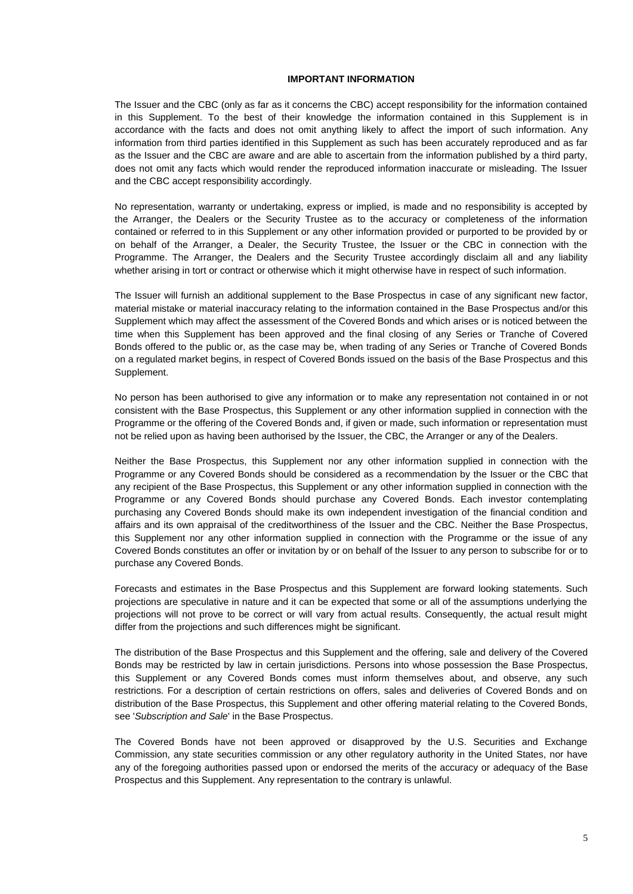# **IMPORTANT INFORMATION**

The Issuer and the CBC (only as far as it concerns the CBC) accept responsibility for the information contained in this Supplement. To the best of their knowledge the information contained in this Supplement is in accordance with the facts and does not omit anything likely to affect the import of such information. Any information from third parties identified in this Supplement as such has been accurately reproduced and as far as the Issuer and the CBC are aware and are able to ascertain from the information published by a third party, does not omit any facts which would render the reproduced information inaccurate or misleading. The Issuer and the CBC accept responsibility accordingly.

No representation, warranty or undertaking, express or implied, is made and no responsibility is accepted by the Arranger, the Dealers or the Security Trustee as to the accuracy or completeness of the information contained or referred to in this Supplement or any other information provided or purported to be provided by or on behalf of the Arranger, a Dealer, the Security Trustee, the Issuer or the CBC in connection with the Programme. The Arranger, the Dealers and the Security Trustee accordingly disclaim all and any liability whether arising in tort or contract or otherwise which it might otherwise have in respect of such information.

The Issuer will furnish an additional supplement to the Base Prospectus in case of any significant new factor, material mistake or material inaccuracy relating to the information contained in the Base Prospectus and/or this Supplement which may affect the assessment of the Covered Bonds and which arises or is noticed between the time when this Supplement has been approved and the final closing of any Series or Tranche of Covered Bonds offered to the public or, as the case may be, when trading of any Series or Tranche of Covered Bonds on a regulated market begins, in respect of Covered Bonds issued on the basis of the Base Prospectus and this Supplement.

No person has been authorised to give any information or to make any representation not contained in or not consistent with the Base Prospectus, this Supplement or any other information supplied in connection with the Programme or the offering of the Covered Bonds and, if given or made, such information or representation must not be relied upon as having been authorised by the Issuer, the CBC, the Arranger or any of the Dealers.

Neither the Base Prospectus, this Supplement nor any other information supplied in connection with the Programme or any Covered Bonds should be considered as a recommendation by the Issuer or the CBC that any recipient of the Base Prospectus, this Supplement or any other information supplied in connection with the Programme or any Covered Bonds should purchase any Covered Bonds. Each investor contemplating purchasing any Covered Bonds should make its own independent investigation of the financial condition and affairs and its own appraisal of the creditworthiness of the Issuer and the CBC. Neither the Base Prospectus, this Supplement nor any other information supplied in connection with the Programme or the issue of any Covered Bonds constitutes an offer or invitation by or on behalf of the Issuer to any person to subscribe for or to purchase any Covered Bonds.

Forecasts and estimates in the Base Prospectus and this Supplement are forward looking statements. Such projections are speculative in nature and it can be expected that some or all of the assumptions underlying the projections will not prove to be correct or will vary from actual results. Consequently, the actual result might differ from the projections and such differences might be significant.

The distribution of the Base Prospectus and this Supplement and the offering, sale and delivery of the Covered Bonds may be restricted by law in certain jurisdictions. Persons into whose possession the Base Prospectus, this Supplement or any Covered Bonds comes must inform themselves about, and observe, any such restrictions. For a description of certain restrictions on offers, sales and deliveries of Covered Bonds and on distribution of the Base Prospectus, this Supplement and other offering material relating to the Covered Bonds, see '*Subscription and Sale*' in the Base Prospectus.

The Covered Bonds have not been approved or disapproved by the U.S. Securities and Exchange Commission, any state securities commission or any other regulatory authority in the United States, nor have any of the foregoing authorities passed upon or endorsed the merits of the accuracy or adequacy of the Base Prospectus and this Supplement. Any representation to the contrary is unlawful.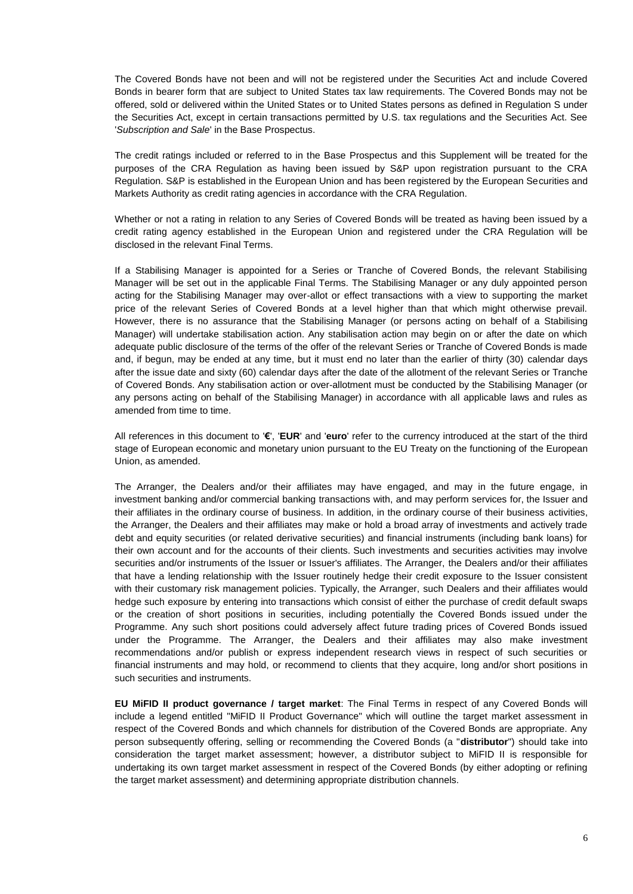The Covered Bonds have not been and will not be registered under the Securities Act and include Covered Bonds in bearer form that are subject to United States tax law requirements. The Covered Bonds may not be offered, sold or delivered within the United States or to United States persons as defined in Regulation S under the Securities Act, except in certain transactions permitted by U.S. tax regulations and the Securities Act. See '*Subscription and Sale*' in the Base Prospectus.

The credit ratings included or referred to in the Base Prospectus and this Supplement will be treated for the purposes of the CRA Regulation as having been issued by S&P upon registration pursuant to the CRA Regulation. S&P is established in the European Union and has been registered by the European Securities and Markets Authority as credit rating agencies in accordance with the CRA Regulation.

Whether or not a rating in relation to any Series of Covered Bonds will be treated as having been issued by a credit rating agency established in the European Union and registered under the CRA Regulation will be disclosed in the relevant Final Terms.

If a Stabilising Manager is appointed for a Series or Tranche of Covered Bonds, the relevant Stabilising Manager will be set out in the applicable Final Terms. The Stabilising Manager or any duly appointed person acting for the Stabilising Manager may over-allot or effect transactions with a view to supporting the market price of the relevant Series of Covered Bonds at a level higher than that which might otherwise prevail. However, there is no assurance that the Stabilising Manager (or persons acting on behalf of a Stabilising Manager) will undertake stabilisation action. Any stabilisation action may begin on or after the date on which adequate public disclosure of the terms of the offer of the relevant Series or Tranche of Covered Bonds is made and, if begun, may be ended at any time, but it must end no later than the earlier of thirty (30) calendar days after the issue date and sixty (60) calendar days after the date of the allotment of the relevant Series or Tranche of Covered Bonds. Any stabilisation action or over-allotment must be conducted by the Stabilising Manager (or any persons acting on behalf of the Stabilising Manager) in accordance with all applicable laws and rules as amended from time to time.

All references in this document to '**€**', '**EUR**' and '**euro**' refer to the currency introduced at the start of the third stage of European economic and monetary union pursuant to the EU Treaty on the functioning of the European Union, as amended.

The Arranger, the Dealers and/or their affiliates may have engaged, and may in the future engage, in investment banking and/or commercial banking transactions with, and may perform services for, the Issuer and their affiliates in the ordinary course of business. In addition, in the ordinary course of their business activities, the Arranger, the Dealers and their affiliates may make or hold a broad array of investments and actively trade debt and equity securities (or related derivative securities) and financial instruments (including bank loans) for their own account and for the accounts of their clients. Such investments and securities activities may involve securities and/or instruments of the Issuer or Issuer's affiliates. The Arranger, the Dealers and/or their affiliates that have a lending relationship with the Issuer routinely hedge their credit exposure to the Issuer consistent with their customary risk management policies. Typically, the Arranger, such Dealers and their affiliates would hedge such exposure by entering into transactions which consist of either the purchase of credit default swaps or the creation of short positions in securities, including potentially the Covered Bonds issued under the Programme. Any such short positions could adversely affect future trading prices of Covered Bonds issued under the Programme. The Arranger, the Dealers and their affiliates may also make investment recommendations and/or publish or express independent research views in respect of such securities or financial instruments and may hold, or recommend to clients that they acquire, long and/or short positions in such securities and instruments.

**EU MiFID II product governance / target market**: The Final Terms in respect of any Covered Bonds will include a legend entitled "MiFID II Product Governance" which will outline the target market assessment in respect of the Covered Bonds and which channels for distribution of the Covered Bonds are appropriate. Any person subsequently offering, selling or recommending the Covered Bonds (a "**distributor**") should take into consideration the target market assessment; however, a distributor subject to MiFID II is responsible for undertaking its own target market assessment in respect of the Covered Bonds (by either adopting or refining the target market assessment) and determining appropriate distribution channels.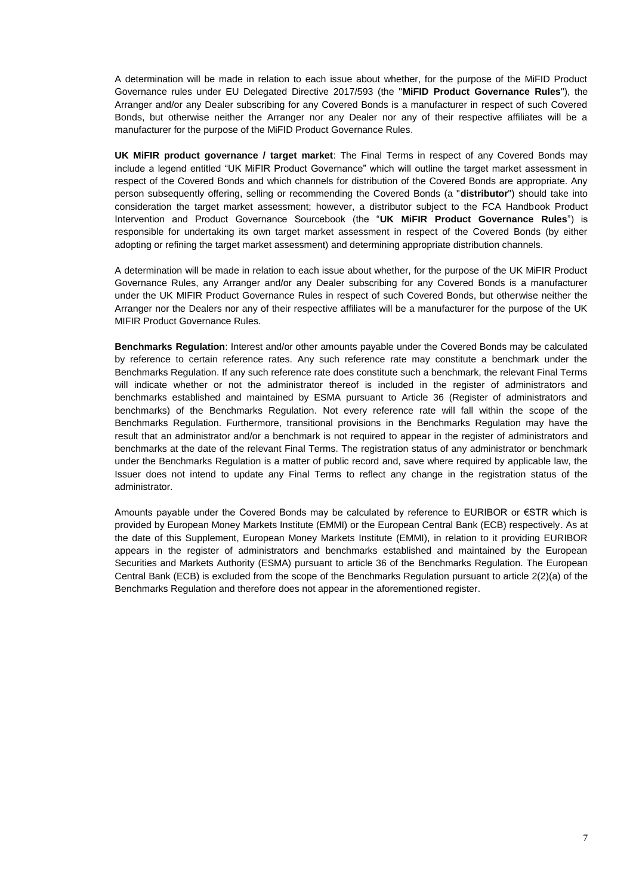A determination will be made in relation to each issue about whether, for the purpose of the MiFID Product Governance rules under EU Delegated Directive 2017/593 (the "**MiFID Product Governance Rules**"), the Arranger and/or any Dealer subscribing for any Covered Bonds is a manufacturer in respect of such Covered Bonds, but otherwise neither the Arranger nor any Dealer nor any of their respective affiliates will be a manufacturer for the purpose of the MiFID Product Governance Rules.

**UK MiFIR product governance / target market**: The Final Terms in respect of any Covered Bonds may include a legend entitled "UK MiFIR Product Governance" which will outline the target market assessment in respect of the Covered Bonds and which channels for distribution of the Covered Bonds are appropriate. Any person subsequently offering, selling or recommending the Covered Bonds (a "**distributor**") should take into consideration the target market assessment; however, a distributor subject to the FCA Handbook Product Intervention and Product Governance Sourcebook (the "**UK MiFIR Product Governance Rules**") is responsible for undertaking its own target market assessment in respect of the Covered Bonds (by either adopting or refining the target market assessment) and determining appropriate distribution channels.

A determination will be made in relation to each issue about whether, for the purpose of the UK MiFIR Product Governance Rules, any Arranger and/or any Dealer subscribing for any Covered Bonds is a manufacturer under the UK MIFIR Product Governance Rules in respect of such Covered Bonds, but otherwise neither the Arranger nor the Dealers nor any of their respective affiliates will be a manufacturer for the purpose of the UK MIFIR Product Governance Rules.

**Benchmarks Regulation**: Interest and/or other amounts payable under the Covered Bonds may be calculated by reference to certain reference rates. Any such reference rate may constitute a benchmark under the Benchmarks Regulation. If any such reference rate does constitute such a benchmark, the relevant Final Terms will indicate whether or not the administrator thereof is included in the register of administrators and benchmarks established and maintained by ESMA pursuant to Article 36 (Register of administrators and benchmarks) of the Benchmarks Regulation. Not every reference rate will fall within the scope of the Benchmarks Regulation. Furthermore, transitional provisions in the Benchmarks Regulation may have the result that an administrator and/or a benchmark is not required to appear in the register of administrators and benchmarks at the date of the relevant Final Terms. The registration status of any administrator or benchmark under the Benchmarks Regulation is a matter of public record and, save where required by applicable law, the Issuer does not intend to update any Final Terms to reflect any change in the registration status of the administrator.

Amounts payable under the Covered Bonds may be calculated by reference to EURIBOR or €STR which is provided by European Money Markets Institute (EMMI) or the European Central Bank (ECB) respectively. As at the date of this Supplement, European Money Markets Institute (EMMI), in relation to it providing EURIBOR appears in the register of administrators and benchmarks established and maintained by the European Securities and Markets Authority (ESMA) pursuant to article 36 of the Benchmarks Regulation. The European Central Bank (ECB) is excluded from the scope of the Benchmarks Regulation pursuant to article 2(2)(a) of the Benchmarks Regulation and therefore does not appear in the aforementioned register.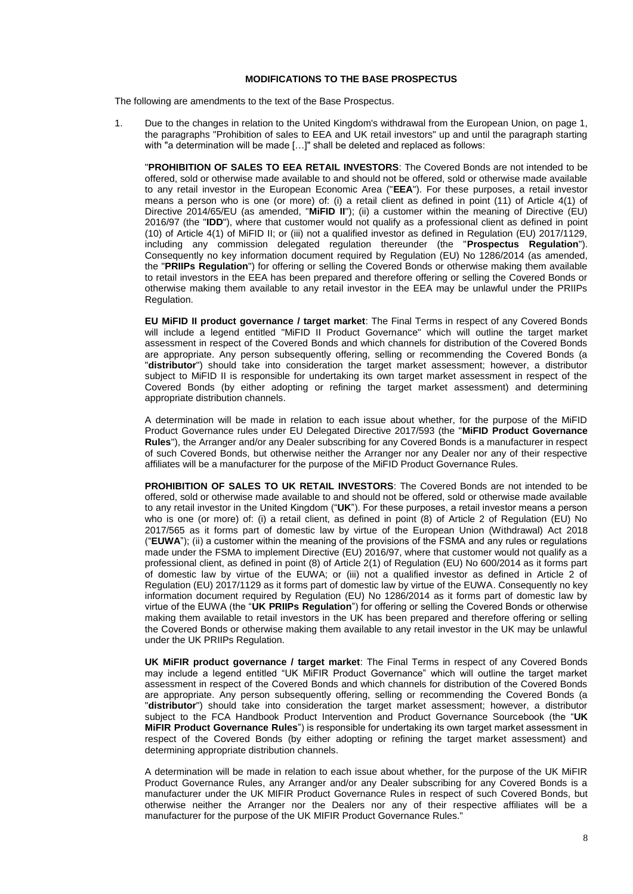# **MODIFICATIONS TO THE BASE PROSPECTUS**

The following are amendments to the text of the Base Prospectus.

1. Due to the changes in relation to the United Kingdom's withdrawal from the European Union, on page 1, the paragraphs "Prohibition of sales to EEA and UK retail investors" up and until the paragraph starting with "a determination will be made [...]" shall be deleted and replaced as follows:

"**PROHIBITION OF SALES TO EEA RETAIL INVESTORS**: The Covered Bonds are not intended to be offered, sold or otherwise made available to and should not be offered, sold or otherwise made available to any retail investor in the European Economic Area ("**EEA**"). For these purposes, a retail investor means a person who is one (or more) of: (i) a retail client as defined in point (11) of Article 4(1) of Directive 2014/65/EU (as amended, "**MiFID II**"); (ii) a customer within the meaning of Directive (EU) 2016/97 (the "**IDD**"), where that customer would not qualify as a professional client as defined in point (10) of Article 4(1) of MiFID II; or (iii) not a qualified investor as defined in Regulation (EU) 2017/1129, including any commission delegated regulation thereunder (the "**Prospectus Regulation**"). Consequently no key information document required by Regulation (EU) No 1286/2014 (as amended, the "**PRIIPs Regulation**") for offering or selling the Covered Bonds or otherwise making them available to retail investors in the EEA has been prepared and therefore offering or selling the Covered Bonds or otherwise making them available to any retail investor in the EEA may be unlawful under the PRIIPs Regulation.

**EU MiFID II product governance / target market**: The Final Terms in respect of any Covered Bonds will include a legend entitled "MiFID II Product Governance" which will outline the target market assessment in respect of the Covered Bonds and which channels for distribution of the Covered Bonds are appropriate. Any person subsequently offering, selling or recommending the Covered Bonds (a "**distributor**") should take into consideration the target market assessment; however, a distributor subject to MiFID II is responsible for undertaking its own target market assessment in respect of the Covered Bonds (by either adopting or refining the target market assessment) and determining appropriate distribution channels.

A determination will be made in relation to each issue about whether, for the purpose of the MiFID Product Governance rules under EU Delegated Directive 2017/593 (the "**MiFID Product Governance Rules**"), the Arranger and/or any Dealer subscribing for any Covered Bonds is a manufacturer in respect of such Covered Bonds, but otherwise neither the Arranger nor any Dealer nor any of their respective affiliates will be a manufacturer for the purpose of the MiFID Product Governance Rules.

**PROHIBITION OF SALES TO UK RETAIL INVESTORS**: The Covered Bonds are not intended to be offered, sold or otherwise made available to and should not be offered, sold or otherwise made available to any retail investor in the United Kingdom ("**UK**"). For these purposes, a retail investor means a person who is one (or more) of: (i) a retail client, as defined in point (8) of Article 2 of Regulation (EU) No 2017/565 as it forms part of domestic law by virtue of the European Union (Withdrawal) Act 2018 ("**EUWA**"); (ii) a customer within the meaning of the provisions of the FSMA and any rules or regulations made under the FSMA to implement Directive (EU) 2016/97, where that customer would not qualify as a professional client, as defined in point (8) of Article 2(1) of Regulation (EU) No 600/2014 as it forms part of domestic law by virtue of the EUWA; or (iii) not a qualified investor as defined in Article 2 of Regulation (EU) 2017/1129 as it forms part of domestic law by virtue of the EUWA. Consequently no key information document required by Regulation (EU) No 1286/2014 as it forms part of domestic law by virtue of the EUWA (the "**UK PRIIPs Regulation**") for offering or selling the Covered Bonds or otherwise making them available to retail investors in the UK has been prepared and therefore offering or selling the Covered Bonds or otherwise making them available to any retail investor in the UK may be unlawful under the UK PRIIPs Regulation.

**UK MiFIR product governance / target market**: The Final Terms in respect of any Covered Bonds may include a legend entitled "UK MiFIR Product Governance" which will outline the target market assessment in respect of the Covered Bonds and which channels for distribution of the Covered Bonds are appropriate. Any person subsequently offering, selling or recommending the Covered Bonds (a "**distributor**") should take into consideration the target market assessment; however, a distributor subject to the FCA Handbook Product Intervention and Product Governance Sourcebook (the "**UK MiFIR Product Governance Rules**") is responsible for undertaking its own target market assessment in respect of the Covered Bonds (by either adopting or refining the target market assessment) and determining appropriate distribution channels.

A determination will be made in relation to each issue about whether, for the purpose of the UK MiFIR Product Governance Rules, any Arranger and/or any Dealer subscribing for any Covered Bonds is a manufacturer under the UK MIFIR Product Governance Rules in respect of such Covered Bonds, but otherwise neither the Arranger nor the Dealers nor any of their respective affiliates will be a manufacturer for the purpose of the UK MIFIR Product Governance Rules."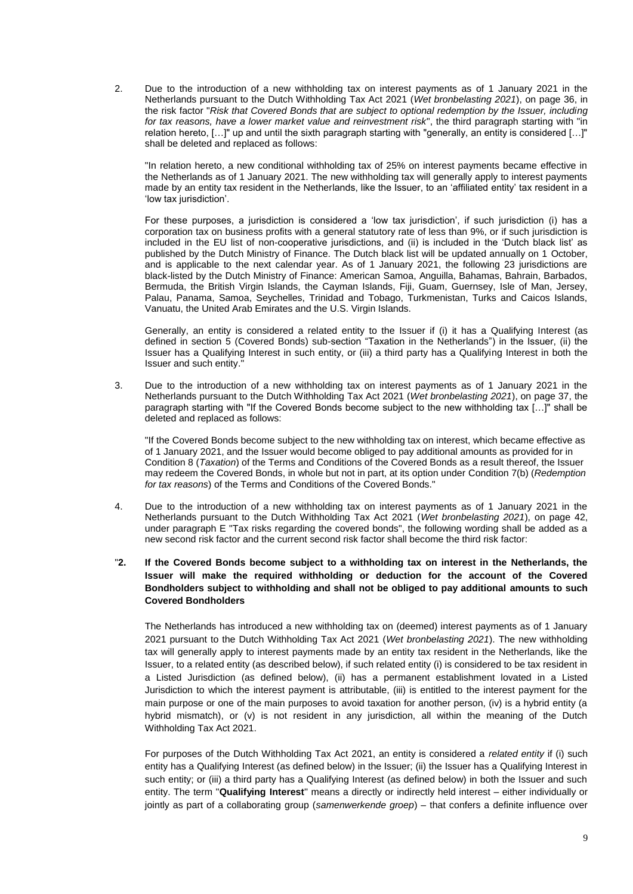2. Due to the introduction of a new withholding tax on interest payments as of 1 January 2021 in the Netherlands pursuant to the Dutch Withholding Tax Act 2021 (*Wet bronbelasting 2021*), on page 36, in the risk factor "*Risk that Covered Bonds that are subject to optional redemption by the Issuer, including for tax reasons, have a lower market value and reinvestment risk*", the third paragraph starting with "in relation hereto, […]" up and until the sixth paragraph starting with "generally, an entity is considered […]" shall be deleted and replaced as follows:

"In relation hereto, a new conditional withholding tax of 25% on interest payments became effective in the Netherlands as of 1 January 2021. The new withholding tax will generally apply to interest payments made by an entity tax resident in the Netherlands, like the Issuer, to an 'affiliated entity' tax resident in a 'low tax jurisdiction'.

For these purposes, a jurisdiction is considered a 'low tax jurisdiction', if such jurisdiction (i) has a corporation tax on business profits with a general statutory rate of less than 9%, or if such jurisdiction is included in the EU list of non-cooperative jurisdictions, and (ii) is included in the 'Dutch black list' as published by the Dutch Ministry of Finance. The Dutch black list will be updated annually on 1 October, and is applicable to the next calendar year. As of 1 January 2021, the following 23 jurisdictions are black-listed by the Dutch Ministry of Finance: American Samoa, Anguilla, Bahamas, Bahrain, Barbados, Bermuda, the British Virgin Islands, the Cayman Islands, Fiji, Guam, Guernsey, Isle of Man, Jersey, Palau, Panama, Samoa, Seychelles, Trinidad and Tobago, Turkmenistan, Turks and Caicos Islands, Vanuatu, the United Arab Emirates and the U.S. Virgin Islands.

Generally, an entity is considered a related entity to the Issuer if (i) it has a Qualifying Interest (as defined in section 5 (Covered Bonds) sub-section "Taxation in the Netherlands") in the Issuer, (ii) the Issuer has a Qualifying Interest in such entity, or (iii) a third party has a Qualifying Interest in both the Issuer and such entity."

3. Due to the introduction of a new withholding tax on interest payments as of 1 January 2021 in the Netherlands pursuant to the Dutch Withholding Tax Act 2021 (*Wet bronbelasting 2021*), on page 37, the paragraph starting with "If the Covered Bonds become subject to the new withholding tax […]" shall be deleted and replaced as follows:

"If the Covered Bonds become subject to the new withholding tax on interest, which became effective as of 1 January 2021, and the Issuer would become obliged to pay additional amounts as provided for in Condition 8 (*Taxation*) of the Terms and Conditions of the Covered Bonds as a result thereof, the Issuer may redeem the Covered Bonds, in whole but not in part, at its option under Condition 7(b) (*Redemption for tax reasons*) of the Terms and Conditions of the Covered Bonds."

- 4. Due to the introduction of a new withholding tax on interest payments as of 1 January 2021 in the Netherlands pursuant to the Dutch Withholding Tax Act 2021 (*Wet bronbelasting 2021*), on page 42, under paragraph E "Tax risks regarding the covered bonds", the following wording shall be added as a new second risk factor and the current second risk factor shall become the third risk factor:
- "**2. If the Covered Bonds become subject to a withholding tax on interest in the Netherlands, the Issuer will make the required withholding or deduction for the account of the Covered Bondholders subject to withholding and shall not be obliged to pay additional amounts to such Covered Bondholders**

The Netherlands has introduced a new withholding tax on (deemed) interest payments as of 1 January 2021 pursuant to the Dutch Withholding Tax Act 2021 (*Wet bronbelasting 2021*). The new withholding tax will generally apply to interest payments made by an entity tax resident in the Netherlands, like the Issuer, to a related entity (as described below), if such related entity (i) is considered to be tax resident in a Listed Jurisdiction (as defined below), (ii) has a permanent establishment lovated in a Listed Jurisdiction to which the interest payment is attributable, (iii) is entitled to the interest payment for the main purpose or one of the main purposes to avoid taxation for another person, (iv) is a hybrid entity (a hybrid mismatch), or (v) is not resident in any jurisdiction, all within the meaning of the Dutch Withholding Tax Act 2021.

For purposes of the Dutch Withholding Tax Act 2021, an entity is considered a *related entity* if (i) such entity has a Qualifying Interest (as defined below) in the Issuer; (ii) the Issuer has a Qualifying Interest in such entity; or (iii) a third party has a Qualifying Interest (as defined below) in both the Issuer and such entity. The term ''**Qualifying Interest**'' means a directly or indirectly held interest – either individually or jointly as part of a collaborating group (*samenwerkende groep*) – that confers a definite influence over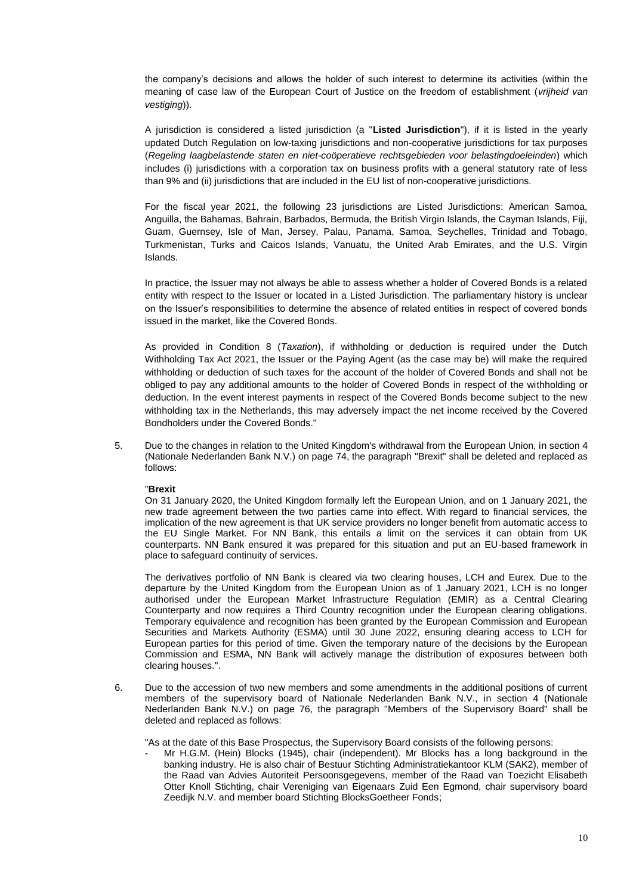the company's decisions and allows the holder of such interest to determine its activities (within the meaning of case law of the European Court of Justice on the freedom of establishment (*vrijheid van vestiging*)).

A jurisdiction is considered a listed jurisdiction (a "**Listed Jurisdiction**"), if it is listed in the yearly updated Dutch Regulation on low-taxing jurisdictions and non-cooperative jurisdictions for tax purposes (*Regeling laagbelastende staten en niet-coöperatieve rechtsgebieden voor belastingdoeleinden*) which includes (i) jurisdictions with a corporation tax on business profits with a general statutory rate of less than 9% and (ii) jurisdictions that are included in the EU list of non-cooperative jurisdictions.

For the fiscal year 2021, the following 23 jurisdictions are Listed Jurisdictions: American Samoa, Anguilla, the Bahamas, Bahrain, Barbados, Bermuda, the British Virgin Islands, the Cayman Islands, Fiji, Guam, Guernsey, Isle of Man, Jersey, Palau, Panama, Samoa, Seychelles, Trinidad and Tobago, Turkmenistan, Turks and Caicos Islands, Vanuatu, the United Arab Emirates, and the U.S. Virgin Islands.

In practice, the Issuer may not always be able to assess whether a holder of Covered Bonds is a related entity with respect to the Issuer or located in a Listed Jurisdiction. The parliamentary history is unclear on the Issuer's responsibilities to determine the absence of related entities in respect of covered bonds issued in the market, like the Covered Bonds.

As provided in Condition 8 (*Taxation*), if withholding or deduction is required under the Dutch Withholding Tax Act 2021, the Issuer or the Paying Agent (as the case may be) will make the required withholding or deduction of such taxes for the account of the holder of Covered Bonds and shall not be obliged to pay any additional amounts to the holder of Covered Bonds in respect of the withholding or deduction. In the event interest payments in respect of the Covered Bonds become subject to the new withholding tax in the Netherlands, this may adversely impact the net income received by the Covered Bondholders under the Covered Bonds."

5. Due to the changes in relation to the United Kingdom's withdrawal from the European Union, in section 4 (Nationale Nederlanden Bank N.V.) on page 74, the paragraph "Brexit" shall be deleted and replaced as follows:

## "**Brexit**

On 31 January 2020, the United Kingdom formally left the European Union, and on 1 January 2021, the new trade agreement between the two parties came into effect. With regard to financial services, the implication of the new agreement is that UK service providers no longer benefit from automatic access to the EU Single Market. For NN Bank, this entails a limit on the services it can obtain from UK counterparts. NN Bank ensured it was prepared for this situation and put an EU-based framework in place to safeguard continuity of services.

The derivatives portfolio of NN Bank is cleared via two clearing houses, LCH and Eurex. Due to the departure by the United Kingdom from the European Union as of 1 January 2021, LCH is no longer authorised under the European Market Infrastructure Regulation (EMIR) as a Central Clearing Counterparty and now requires a Third Country recognition under the European clearing obligations. Temporary equivalence and recognition has been granted by the European Commission and European Securities and Markets Authority (ESMA) until 30 June 2022, ensuring clearing access to LCH for European parties for this period of time. Given the temporary nature of the decisions by the European Commission and ESMA, NN Bank will actively manage the distribution of exposures between both clearing houses.".

6. Due to the accession of two new members and some amendments in the additional positions of current members of the supervisory board of Nationale Nederlanden Bank N.V., in section 4 (Nationale Nederlanden Bank N.V.) on page 76, the paragraph "Members of the Supervisory Board" shall be deleted and replaced as follows:

"As at the date of this Base Prospectus, the Supervisory Board consists of the following persons:

Mr H.G.M. (Hein) Blocks (1945), chair (independent). Mr Blocks has a long background in the banking industry. He is also chair of Bestuur Stichting Administratiekantoor KLM (SAK2), member of the Raad van Advies Autoriteit Persoonsgegevens, member of the Raad van Toezicht Elisabeth Otter Knoll Stichting, chair Vereniging van Eigenaars Zuid Een Egmond, chair supervisory board Zeedijk N.V. and member board Stichting BlocksGoetheer Fonds;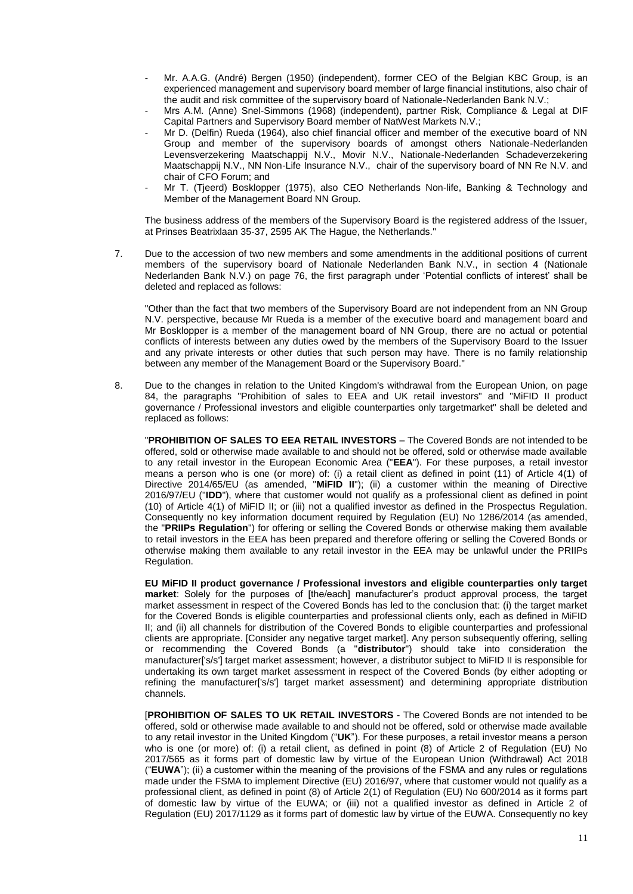- Mr. A.A.G. (André) Bergen (1950) (independent), former CEO of the Belgian KBC Group, is an experienced management and supervisory board member of large financial institutions, also chair of the audit and risk committee of the supervisory board of Nationale-Nederlanden Bank N.V.;
- Mrs A.M. (Anne) Snel-Simmons (1968) (independent), partner Risk, Compliance & Legal at DIF Capital Partners and Supervisory Board member of NatWest Markets N.V.;
- Mr D. (Delfin) Rueda (1964), also chief financial officer and member of the executive board of NN Group and member of the supervisory boards of amongst others Nationale-Nederlanden Levensverzekering Maatschappij N.V., Movir N.V., Nationale-Nederlanden Schadeverzekering Maatschappij N.V., NN Non-Life Insurance N.V., chair of the supervisory board of NN Re N.V. and chair of CFO Forum; and
- Mr T. (Tieerd) Bosklopper (1975), also CEO Netherlands Non-life, Banking & Technology and Member of the Management Board NN Group.

The business address of the members of the Supervisory Board is the registered address of the Issuer, at Prinses Beatrixlaan 35-37, 2595 AK The Hague, the Netherlands."

7. Due to the accession of two new members and some amendments in the additional positions of current members of the supervisory board of Nationale Nederlanden Bank N.V., in section 4 (Nationale Nederlanden Bank N.V.) on page 76, the first paragraph under 'Potential conflicts of interest' shall be deleted and replaced as follows:

"Other than the fact that two members of the Supervisory Board are not independent from an NN Group N.V. perspective, because Mr Rueda is a member of the executive board and management board and Mr Bosklopper is a member of the management board of NN Group, there are no actual or potential conflicts of interests between any duties owed by the members of the Supervisory Board to the Issuer and any private interests or other duties that such person may have. There is no family relationship between any member of the Management Board or the Supervisory Board."

8. Due to the changes in relation to the United Kingdom's withdrawal from the European Union, on page 84, the paragraphs "Prohibition of sales to EEA and UK retail investors" and "MiFID II product governance / Professional investors and eligible counterparties only targetmarket" shall be deleted and replaced as follows:

"**PROHIBITION OF SALES TO EEA RETAIL INVESTORS** – The Covered Bonds are not intended to be offered, sold or otherwise made available to and should not be offered, sold or otherwise made available to any retail investor in the European Economic Area ("**EEA**"). For these purposes, a retail investor means a person who is one (or more) of: (i) a retail client as defined in point (11) of Article 4(1) of Directive 2014/65/EU (as amended, "MiFID II"); (ii) a customer within the meaning of Directive 2016/97/EU ("**IDD**"), where that customer would not qualify as a professional client as defined in point (10) of Article 4(1) of MiFID II; or (iii) not a qualified investor as defined in the Prospectus Regulation. Consequently no key information document required by Regulation (EU) No 1286/2014 (as amended, the "**PRIIPs Regulation**") for offering or selling the Covered Bonds or otherwise making them available to retail investors in the EEA has been prepared and therefore offering or selling the Covered Bonds or otherwise making them available to any retail investor in the EEA may be unlawful under the PRIIPs Regulation.

**EU MiFID II product governance / Professional investors and eligible counterparties only target market**: Solely for the purposes of [the/each] manufacturer's product approval process, the target market assessment in respect of the Covered Bonds has led to the conclusion that: (i) the target market for the Covered Bonds is eligible counterparties and professional clients only, each as defined in MiFID II; and (ii) all channels for distribution of the Covered Bonds to eligible counterparties and professional clients are appropriate. [Consider any negative target market]. Any person subsequently offering, selling or recommending the Covered Bonds (a "**distributor**") should take into consideration the manufacturer['s/s'] target market assessment; however, a distributor subject to MiFID II is responsible for undertaking its own target market assessment in respect of the Covered Bonds (by either adopting or refining the manufacturer['s/s'] target market assessment) and determining appropriate distribution channels.

[**PROHIBITION OF SALES TO UK RETAIL INVESTORS** - The Covered Bonds are not intended to be offered, sold or otherwise made available to and should not be offered, sold or otherwise made available to any retail investor in the United Kingdom ("**UK**"). For these purposes, a retail investor means a person who is one (or more) of: (i) a retail client, as defined in point (8) of Article 2 of Regulation (EU) No 2017/565 as it forms part of domestic law by virtue of the European Union (Withdrawal) Act 2018 ("**EUWA**"); (ii) a customer within the meaning of the provisions of the FSMA and any rules or regulations made under the FSMA to implement Directive (EU) 2016/97, where that customer would not qualify as a professional client, as defined in point (8) of Article 2(1) of Regulation (EU) No 600/2014 as it forms part of domestic law by virtue of the EUWA; or (iii) not a qualified investor as defined in Article 2 of Regulation (EU) 2017/1129 as it forms part of domestic law by virtue of the EUWA. Consequently no key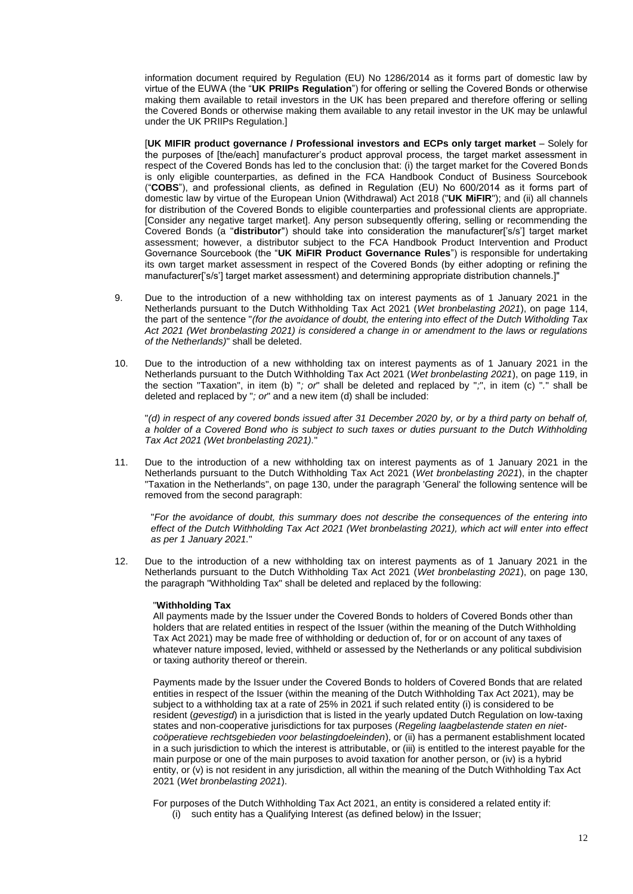information document required by Regulation (EU) No 1286/2014 as it forms part of domestic law by virtue of the EUWA (the "**UK PRIIPs Regulation**") for offering or selling the Covered Bonds or otherwise making them available to retail investors in the UK has been prepared and therefore offering or selling the Covered Bonds or otherwise making them available to any retail investor in the UK may be unlawful under the UK PRIIPs Regulation.]

[**UK MIFIR product governance / Professional investors and ECPs only target market** – Solely for the purposes of [the/each] manufacturer's product approval process, the target market assessment in respect of the Covered Bonds has led to the conclusion that: (i) the target market for the Covered Bonds is only eligible counterparties, as defined in the FCA Handbook Conduct of Business Sourcebook ("**COBS**"), and professional clients, as defined in Regulation (EU) No 600/2014 as it forms part of domestic law by virtue of the European Union (Withdrawal) Act 2018 ("**UK MiFIR**"); and (ii) all channels for distribution of the Covered Bonds to eligible counterparties and professional clients are appropriate. [Consider any negative target market]. Any person subsequently offering, selling or recommending the Covered Bonds (a "**distributor**") should take into consideration the manufacturer['s/s'] target market assessment; however, a distributor subject to the FCA Handbook Product Intervention and Product Governance Sourcebook (the "**UK MiFIR Product Governance Rules**") is responsible for undertaking its own target market assessment in respect of the Covered Bonds (by either adopting or refining the manufacturer['s/s'] target market assessment) and determining appropriate distribution channels.]"

- 9. Due to the introduction of a new withholding tax on interest payments as of 1 January 2021 in the Netherlands pursuant to the Dutch Withholding Tax Act 2021 (*Wet bronbelasting 2021*), on page 114, the part of the sentence "*(for the avoidance of doubt, the entering into effect of the Dutch Witholding Tax Act 2021 (Wet bronbelasting 2021) is considered a change in or amendment to the laws or regulations of the Netherlands)*" shall be deleted.
- 10. Due to the introduction of a new withholding tax on interest payments as of 1 January 2021 in the Netherlands pursuant to the Dutch Withholding Tax Act 2021 (*Wet bronbelasting 2021*), on page 119, in the section "Taxation", in item (b) "*; or*" shall be deleted and replaced by "*;*", in item (c) "*.*" shall be deleted and replaced by "*; or*" and a new item (d) shall be included:

"*(d) in respect of any covered bonds issued after 31 December 2020 by, or by a third party on behalf of, a holder of a Covered Bond who is subject to such taxes or duties pursuant to the Dutch Withholding Tax Act 2021 (Wet bronbelasting 2021).*"

11. Due to the introduction of a new withholding tax on interest payments as of 1 January 2021 in the Netherlands pursuant to the Dutch Withholding Tax Act 2021 (*Wet bronbelasting 2021*), in the chapter "Taxation in the Netherlands", on page 130, under the paragraph 'General' the following sentence will be removed from the second paragraph:

"*For the avoidance of doubt, this summary does not describe the consequences of the entering into effect of the Dutch Withholding Tax Act 2021 (Wet bronbelasting 2021), which act will enter into effect as per 1 January 2021.*"

12. Due to the introduction of a new withholding tax on interest payments as of 1 January 2021 in the Netherlands pursuant to the Dutch Withholding Tax Act 2021 (*Wet bronbelasting 2021*), on page 130, the paragraph "Withholding Tax" shall be deleted and replaced by the following:

## "**Withholding Tax**

All payments made by the Issuer under the Covered Bonds to holders of Covered Bonds other than holders that are related entities in respect of the Issuer (within the meaning of the Dutch Withholding Tax Act 2021) may be made free of withholding or deduction of, for or on account of any taxes of whatever nature imposed, levied, withheld or assessed by the Netherlands or any political subdivision or taxing authority thereof or therein.

Payments made by the Issuer under the Covered Bonds to holders of Covered Bonds that are related entities in respect of the Issuer (within the meaning of the Dutch Withholding Tax Act 2021), may be subject to a withholding tax at a rate of 25% in 2021 if such related entity (i) is considered to be resident (*gevestigd*) in a jurisdiction that is listed in the yearly updated Dutch Regulation on low-taxing states and non-cooperative jurisdictions for tax purposes (*Regeling laagbelastende staten en nietcoöperatieve rechtsgebieden voor belastingdoeleinden*), or (ii) has a permanent establishment located in a such jurisdiction to which the interest is attributable, or (iii) is entitled to the interest payable for the main purpose or one of the main purposes to avoid taxation for another person, or (iv) is a hybrid entity, or (v) is not resident in any jurisdiction, all within the meaning of the Dutch Withholding Tax Act 2021 (*Wet bronbelasting 2021*).

For purposes of the Dutch Withholding Tax Act 2021, an entity is considered a related entity if: (i) such entity has a Qualifying Interest (as defined below) in the Issuer;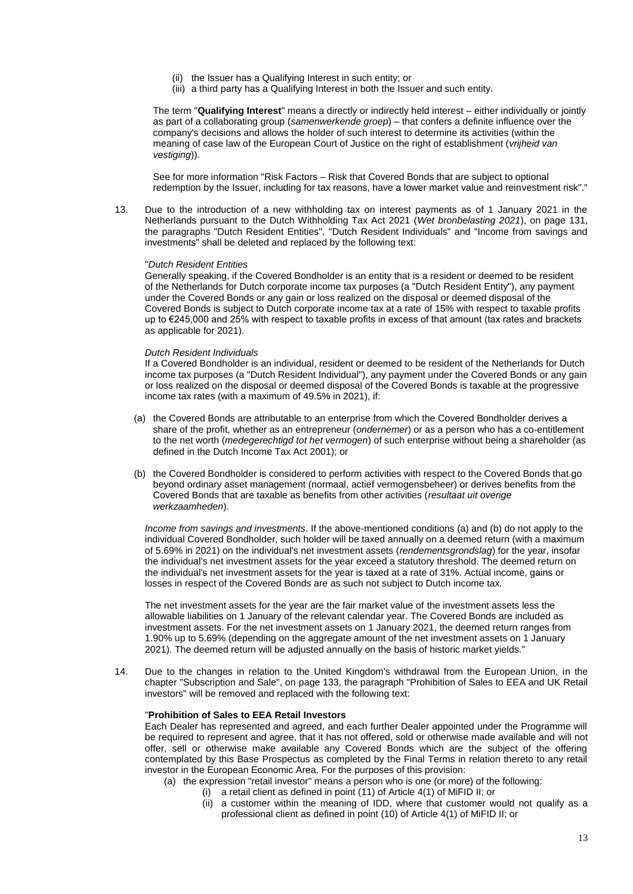- (ii) the Issuer has a Qualifying Interest in such entity; or
- (iii) a third party has a Qualifying Interest in both the Issuer and such entity.

The term "**Qualifying Interest**" means a directly or indirectly held interest – either individually or jointly as part of a collaborating group (*samenwerkende groep*) – that confers a definite influence over the company's decisions and allows the holder of such interest to determine its activities (within the meaning of case law of the European Court of Justice on the right of establishment (*vrijheid van vestiging*)).

See for more information "Risk Factors – Risk that Covered Bonds that are subject to optional redemption by the Issuer, including for tax reasons, have a lower market value and reinvestment risk"."

13. Due to the introduction of a new withholding tax on interest payments as of 1 January 2021 in the Netherlands pursuant to the Dutch Withholding Tax Act 2021 (*Wet bronbelasting 2021*), on page 131, the paragraphs "Dutch Resident Entities", "Dutch Resident Individuals" and "Income from savings and investments" shall be deleted and replaced by the following text:

### "*Dutch Resident Entities*

Generally speaking, if the Covered Bondholder is an entity that is a resident or deemed to be resident of the Netherlands for Dutch corporate income tax purposes (a "Dutch Resident Entity"), any payment under the Covered Bonds or any gain or loss realized on the disposal or deemed disposal of the Covered Bonds is subject to Dutch corporate income tax at a rate of 15% with respect to taxable profits up to €245,000 and 25% with respect to taxable profits in excess of that amount (tax rates and brackets as applicable for 2021).

### *Dutch Resident Individuals*

If a Covered Bondholder is an individual, resident or deemed to be resident of the Netherlands for Dutch income tax purposes (a "Dutch Resident Individual"), any payment under the Covered Bonds or any gain or loss realized on the disposal or deemed disposal of the Covered Bonds is taxable at the progressive income tax rates (with a maximum of 49.5% in 2021), if:

- (a) the Covered Bonds are attributable to an enterprise from which the Covered Bondholder derives a share of the profit, whether as an entrepreneur (*ondernemer*) or as a person who has a co-entitlement to the net worth (*medegerechtigd tot het vermogen*) of such enterprise without being a shareholder (as defined in the Dutch Income Tax Act 2001); or
- (b) the Covered Bondholder is considered to perform activities with respect to the Covered Bonds that go beyond ordinary asset management (normaal, actief vermogensbeheer) or derives benefits from the Covered Bonds that are taxable as benefits from other activities (*resultaat uit overige werkzaamheden*).

*Income from savings and investments*. If the above-mentioned conditions (a) and (b) do not apply to the individual Covered Bondholder, such holder will be taxed annually on a deemed return (with a maximum of 5.69% in 2021) on the individual's net investment assets (*rendementsgrondslag*) for the year, insofar the individual's net investment assets for the year exceed a statutory threshold. The deemed return on the individual's net investment assets for the year is taxed at a rate of 31%. Actual income, gains or losses in respect of the Covered Bonds are as such not subject to Dutch income tax.

The net investment assets for the year are the fair market value of the investment assets less the allowable liabilities on 1 January of the relevant calendar year. The Covered Bonds are included as investment assets. For the net investment assets on 1 January 2021, the deemed return ranges from 1.90% up to 5.69% (depending on the aggregate amount of the net investment assets on 1 January 2021). The deemed return will be adjusted annually on the basis of historic market yields."

14. Due to the changes in relation to the United Kingdom's withdrawal from the European Union, in the chapter "Subscription and Sale", on page 133, the paragraph "Prohibition of Sales to EEA and UK Retail investors" will be removed and replaced with the following text:

## "**Prohibition of Sales to EEA Retail Investors**

Each Dealer has represented and agreed, and each further Dealer appointed under the Programme will be required to represent and agree, that it has not offered, sold or otherwise made available and will not offer, sell or otherwise make available any Covered Bonds which are the subject of the offering contemplated by this Base Prospectus as completed by the Final Terms in relation thereto to any retail investor in the European Economic Area. For the purposes of this provision:

- (a) the expression "retail investor" means a person who is one (or more) of the following:
	- (i) a retail client as defined in point (11) of Article 4(1) of MiFID II; or
	- (ii) a customer within the meaning of IDD, where that customer would not qualify as a professional client as defined in point (10) of Article 4(1) of MiFID II; or